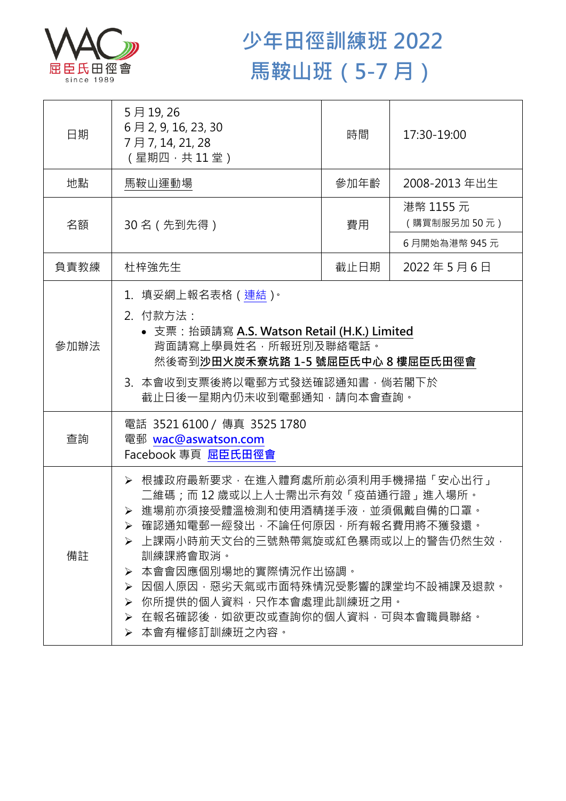

## **少年田徑訓練班 2022 馬鞍山班(5-7 月)**

| 日期   | 5月19,26<br>6月2, 9, 16, 23, 30<br>7月7, 14, 21, 28<br>(星期四,共11堂)                                                                                                                                                                                                                                                                                            | 時間   | 17:30-19:00              |
|------|-----------------------------------------------------------------------------------------------------------------------------------------------------------------------------------------------------------------------------------------------------------------------------------------------------------------------------------------------------------|------|--------------------------|
| 地點   | 馬鞍山運動場                                                                                                                                                                                                                                                                                                                                                    | 參加年齡 | 2008-2013 年出生            |
| 名額   | 30名 (先到先得)                                                                                                                                                                                                                                                                                                                                                | 費用   | 港幣 1155 元<br>(購買制服另加50元) |
|      |                                                                                                                                                                                                                                                                                                                                                           |      | 6月開始為港幣 945元             |
| 負責教練 | 杜梓強先生                                                                                                                                                                                                                                                                                                                                                     | 截止日期 | 2022年5月6日                |
| 參加辦法 | 1.填妥網上報名表格(連結) <sup>。</sup><br>2. 付款方法:<br>• 支票: 抬頭請寫 A.S. Watson Retail (H.K.) Limited<br>背面請寫上學員姓名,所報班別及聯絡電話。<br>然後寄到沙田火炭禾寮坑路 1-5 號屈臣氏中心 8 樓屈臣氏田徑會<br>3. 本會收到支票後將以電郵方式發送確認通知書,倘若閣下於<br>截止日後一星期內仍未收到電郵通知,請向本會查詢。                                                                                                                                         |      |                          |
| 查詢   | 電話 3521 6100 / 傳真 3525 1780<br>電郵 wac@aswatson.com<br>Facebook 專頁 屈臣氏田徑會                                                                                                                                                                                                                                                                                  |      |                          |
| 備註   | > 根據政府最新要求,在進入體育處所前必須利用手機掃描「安心出行」<br>二維碼;而12歳或以上人士需出示有效「疫苗通行證」進入場所。<br>> 進場前亦須接受體溫檢測和使用酒精搓手液·並須佩戴自備的口罩。<br>▶ 確認通知電郵一經發出,不論任何原因,所有報名費用將不獲發還。<br>➢ 上課兩小時前天文台的三號熱帶氣旋或紅色暴雨或以上的警告仍然生效•<br>訓練課將會取消。<br>本會會因應個別場地的實際情況作出協調。<br>➤<br>因個人原因,惡劣天氣或市面特殊情況受影響的課堂均不設補課及退款。<br>➤<br>你所提供的個人資料,只作本會處理此訓練班之用。<br>➤<br>▶ 在報名確認後,如欲更改或查詢你的個人資料,可與本會職員聯絡。<br>➢ 本會有權修訂訓練班之內容。 |      |                          |